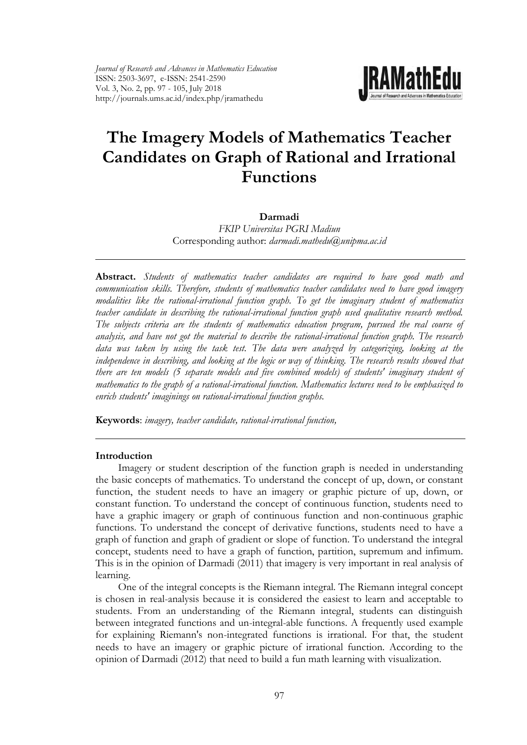

# **The Imagery Models of Mathematics Teacher Candidates on Graph of Rational and Irrational Functions**

**Darmadi** 

*FKIP Universitas PGRI Madiun*  Corresponding author: *darmadi.mathedu@unipma.ac.id*

**Abstract.** *Students of mathematics teacher candidates are required to have good math and communication skills. Therefore, students of mathematics teacher candidates need to have good imagery modalities like the rational-irrational function graph. To get the imaginary student of mathematics teacher candidate in describing the rational-irrational function graph used qualitative research method. The subjects criteria are the students of mathematics education program, pursued the real course of analysis, and have not got the material to describe the rational-irrational function graph. The research data was taken by using the task test. The data were analyzed by categorizing, looking at the independence in describing, and looking at the logic or way of thinking. The research results showed that there are ten models (5 separate models and five combined models) of students' imaginary student of mathematics to the graph of a rational-irrational function. Mathematics lectures need to be emphasized to enrich students' imaginings on rational-irrational function graphs.*

**Keywords**: *imagery, teacher candidate, rational-irrational function,* 

#### **Introduction**

Imagery or student description of the function graph is needed in understanding the basic concepts of mathematics. To understand the concept of up, down, or constant function, the student needs to have an imagery or graphic picture of up, down, or constant function. To understand the concept of continuous function, students need to have a graphic imagery or graph of continuous function and non-continuous graphic functions. To understand the concept of derivative functions, students need to have a graph of function and graph of gradient or slope of function. To understand the integral concept, students need to have a graph of function, partition, supremum and infimum. This is in the opinion of Darmadi (2011) that imagery is very important in real analysis of learning.

One of the integral concepts is the Riemann integral. The Riemann integral concept is chosen in real-analysis because it is considered the easiest to learn and acceptable to students. From an understanding of the Riemann integral, students can distinguish between integrated functions and un-integral-able functions. A frequently used example for explaining Riemann's non-integrated functions is irrational. For that, the student needs to have an imagery or graphic picture of irrational function. According to the opinion of Darmadi (2012) that need to build a fun math learning with visualization.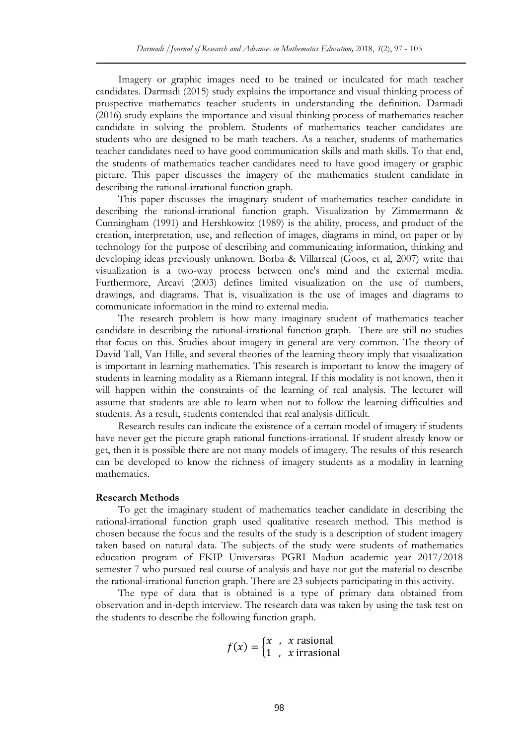Imagery or graphic images need to be trained or inculcated for math teacher candidates. Darmadi (2015) study explains the importance and visual thinking process of prospective mathematics teacher students in understanding the definition. Darmadi (2016) study explains the importance and visual thinking process of mathematics teacher candidate in solving the problem. Students of mathematics teacher candidates are students who are designed to be math teachers. As a teacher, students of mathematics teacher candidates need to have good communication skills and math skills. To that end, the students of mathematics teacher candidates need to have good imagery or graphic picture. This paper discusses the imagery of the mathematics student candidate in describing the rational-irrational function graph.

This paper discusses the imaginary student of mathematics teacher candidate in describing the rational-irrational function graph. Visualization by Zimmermann & Cunningham (1991) and Hershkowitz (1989) is the ability, process, and product of the creation, interpretation, use, and reflection of images, diagrams in mind, on paper or by technology for the purpose of describing and communicating information, thinking and developing ideas previously unknown. Borba & Villarreal (Goos, et al, 2007) write that visualization is a two-way process between one's mind and the external media. Furthermore, Arcavi (2003) defines limited visualization on the use of numbers, drawings, and diagrams. That is, visualization is the use of images and diagrams to communicate information in the mind to external media.

The research problem is how many imaginary student of mathematics teacher candidate in describing the rational-irrational function graph. There are still no studies that focus on this. Studies about imagery in general are very common. The theory of David Tall, Van Hille, and several theories of the learning theory imply that visualization is important in learning mathematics. This research is important to know the imagery of students in learning modality as a Riemann integral. If this modality is not known, then it will happen within the constraints of the learning of real analysis. The lecturer will assume that students are able to learn when not to follow the learning difficulties and students. As a result, students contended that real analysis difficult.

Research results can indicate the existence of a certain model of imagery if students have never get the picture graph rational functions-irrational. If student already know or get, then it is possible there are not many models of imagery. The results of this research can be developed to know the richness of imagery students as a modality in learning mathematics.

#### **Research Methods**

To get the imaginary student of mathematics teacher candidate in describing the rational-irrational function graph used qualitative research method. This method is chosen because the focus and the results of the study is a description of student imagery taken based on natural data. The subjects of the study were students of mathematics education program of FKIP Universitas PGRI Madiun academic year 2017/2018 semester 7 who pursued real course of analysis and have not got the material to describe the rational-irrational function graph. There are 23 subjects participating in this activity.

The type of data that is obtained is a type of primary data obtained from observation and in-depth interview. The research data was taken by using the task test on the students to describe the following function graph.

> $f(x) = \begin{cases} x & x \text{ rasional} \\ 1 & x \text{irmean} \end{cases}$ 1,  $x$  irrasional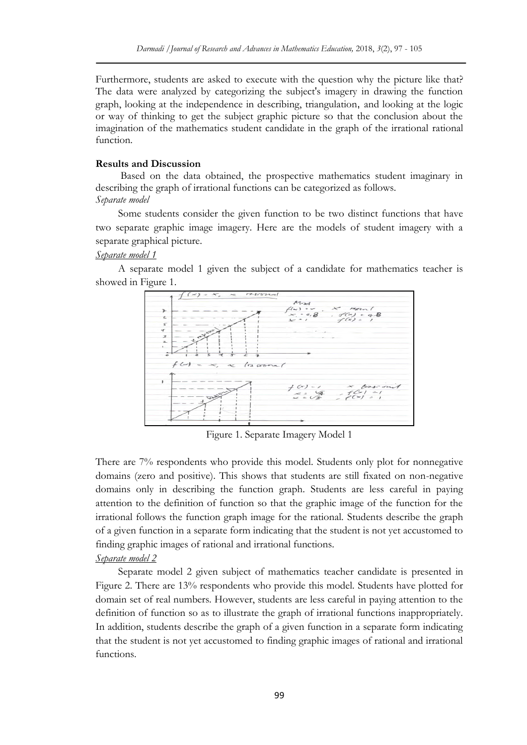Furthermore, students are asked to execute with the question why the picture like that? The data were analyzed by categorizing the subject's imagery in drawing the function graph, looking at the independence in describing, triangulation, and looking at the logic or way of thinking to get the subject graphic picture so that the conclusion about the imagination of the mathematics student candidate in the graph of the irrational rational function.

#### **Results and Discussion**

Based on the data obtained, the prospective mathematics student imaginary in describing the graph of irrational functions can be categorized as follows. *Separate model*

Some students consider the given function to be two distinct functions that have two separate graphic image imagery. Here are the models of student imagery with a separate graphical picture.

#### *Separate model 1*

A separate model 1 given the subject of a candidate for mathematics teacher is showed in Figure 1.



Figure 1. Separate Imagery Model 1

There are 7% respondents who provide this model. Students only plot for nonnegative domains (zero and positive). This shows that students are still fixated on non-negative domains only in describing the function graph. Students are less careful in paying attention to the definition of function so that the graphic image of the function for the irrational follows the function graph image for the rational. Students describe the graph of a given function in a separate form indicating that the student is not yet accustomed to finding graphic images of rational and irrational functions.

## *Separate model 2*

Separate model 2 given subject of mathematics teacher candidate is presented in Figure 2. There are 13% respondents who provide this model. Students have plotted for domain set of real numbers. However, students are less careful in paying attention to the definition of function so as to illustrate the graph of irrational functions inappropriately. In addition, students describe the graph of a given function in a separate form indicating that the student is not yet accustomed to finding graphic images of rational and irrational functions.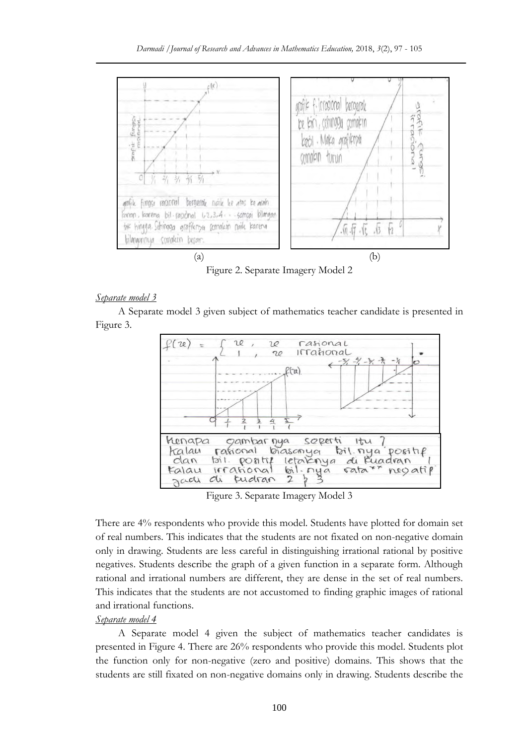

Figure 2. Separate Imagery Model 2

## *Separate model 3*

A Separate model 3 given subject of mathematics teacher candidate is presented in Figure 3.



Figure 3. Separate Imagery Model 3

There are 4% respondents who provide this model. Students have plotted for domain set of real numbers. This indicates that the students are not fixated on non-negative domain only in drawing. Students are less careful in distinguishing irrational rational by positive negatives. Students describe the graph of a given function in a separate form. Although rational and irrational numbers are different, they are dense in the set of real numbers. This indicates that the students are not accustomed to finding graphic images of rational and irrational functions.

## *Separate model 4*

A Separate model 4 given the subject of mathematics teacher candidates is presented in Figure 4. There are 26% respondents who provide this model. Students plot the function only for non-negative (zero and positive) domains. This shows that the students are still fixated on non-negative domains only in drawing. Students describe the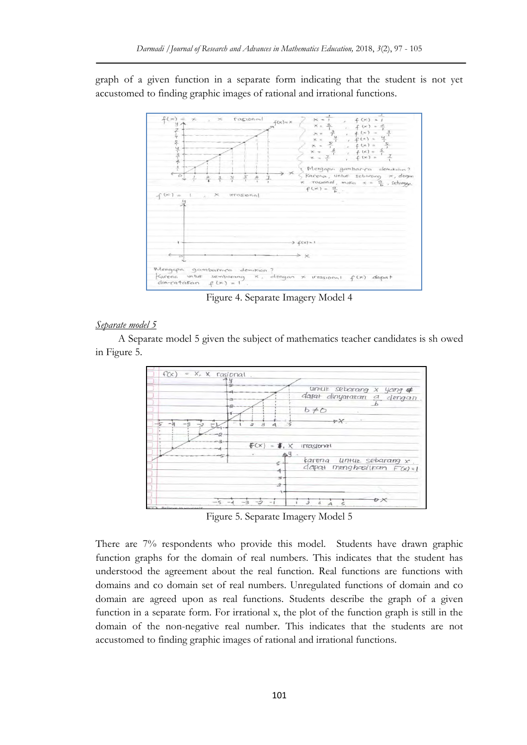graph of a given function in a separate form indicating that the student is not yet accustomed to finding graphic images of rational and irrational functions.



Figure 4. Separate Imagery Model 4

## *Separate model 5*

A Separate model 5 given the subject of mathematics teacher candidates is sh owed in Figure 5.



Figure 5. Separate Imagery Model 5

There are 7% respondents who provide this model. Students have drawn graphic function graphs for the domain of real numbers. This indicates that the student has understood the agreement about the real function. Real functions are functions with domains and co domain set of real numbers. Unregulated functions of domain and co domain are agreed upon as real functions. Students describe the graph of a given function in a separate form. For irrational x, the plot of the function graph is still in the domain of the non-negative real number. This indicates that the students are not accustomed to finding graphic images of rational and irrational functions.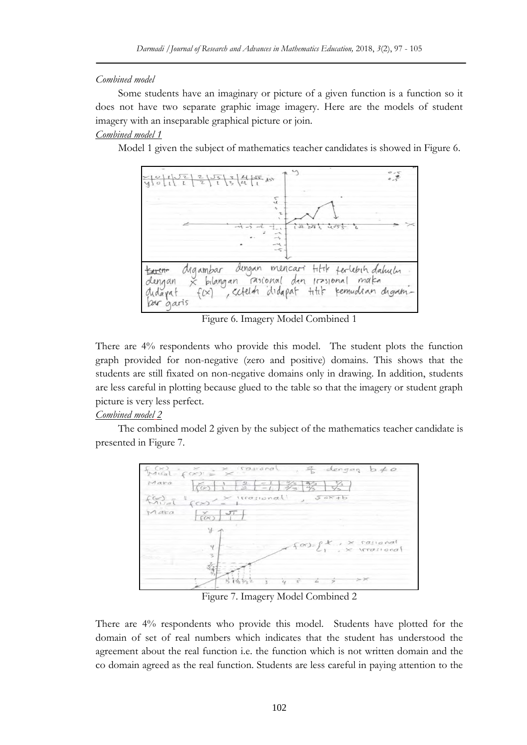## *Combined model*

Some students have an imaginary or picture of a given function is a function so it does not have two separate graphic image imagery. Here are the models of student imagery with an inseparable graphical picture or join.

## *Combined model 1*

Model 1 given the subject of mathematics teacher candidates is showed in Figure 6.



Figure 6. Imagery Model Combined 1

There are 4% respondents who provide this model. The student plots the function graph provided for non-negative (zero and positive) domains. This shows that the students are still fixated on non-negative domains only in drawing. In addition, students are less careful in plotting because glued to the table so that the imagery or student graph picture is very less perfect.

# *Combined model 2*

The combined model 2 given by the subject of the mathematics teacher candidate is presented in Figure 7.



Figure 7. Imagery Model Combined 2

There are 4% respondents who provide this model. Students have plotted for the domain of set of real numbers which indicates that the student has understood the agreement about the real function i.e. the function which is not written domain and the co domain agreed as the real function. Students are less careful in paying attention to the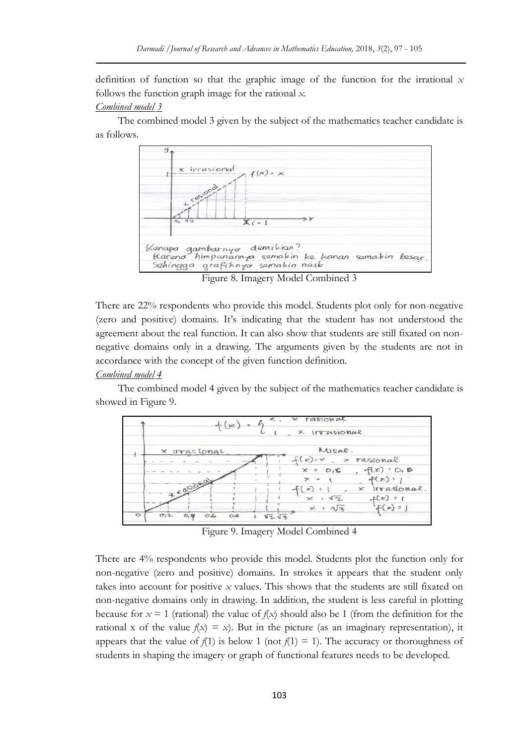definition of function so that the graphic image of the function for the irrational *x* follows the function graph image for the rational *x*.

#### *Combined model 3*

The combined model 3 given by the subject of the mathematics teacher candidate is as follows.



Figure 8. Imagery Model Combined 3

There are 22% respondents who provide this model. Students plot only for non-negative (zero and positive) domains. It's indicating that the student has not understood the agreement about the real function. It can also show that students are still fixated on nonnegative domains only in a drawing. The arguments given by the students are not in accordance with the concept of the given function definition.

## *Combined model 4*

The combined model 4 given by the subject of the mathematics teacher candidate is showed in Figure 9.



Figure 9. Imagery Model Combined 4

There are 4% respondents who provide this model. Students plot the function only for non-negative (zero and positive) domains. In strokes it appears that the student only takes into account for positive *x* values. This shows that the students are still fixated on non-negative domains only in drawing. In addition, the student is less careful in plotting because for  $x = 1$  (rational) the value of  $f(x)$  should also be 1 (from the definition for the rational x of the value  $f(x) = x$ ). But in the picture (as an imaginary representation), it appears that the value of  $f(1)$  is below 1 (not  $f(1) = 1$ ). The accuracy or thoroughness of students in shaping the imagery or graph of functional features needs to be developed.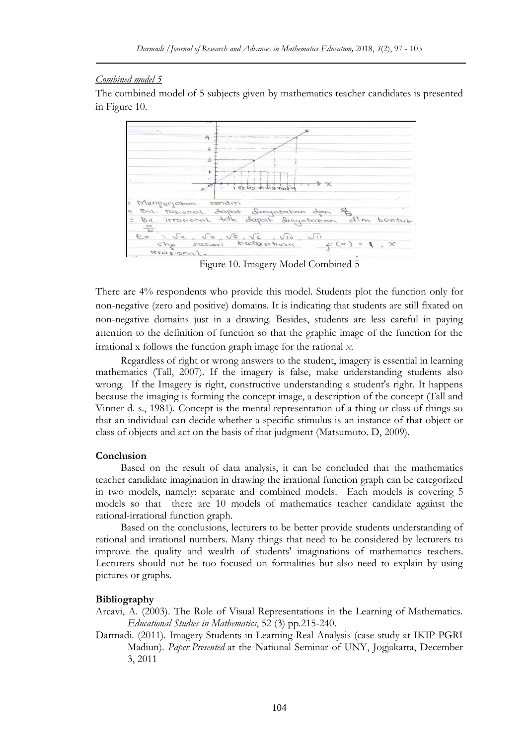#### *Combined model 5*

The combined model of 5 subjects given by mathematics teacher candidates is presented in Figure 10.



Figure 10. Imagery Model Combined 5

There are 4% respondents who provide this model. Students plot the function only for non-negative (zero and positive) domains. It is indicating that students are still fixated on non-negative domains just in a drawing. Besides, students are less careful in paying attention to the definition of function so that the graphic image of the function for the irrational x follows the function graph image for the rational *x*.

Regardless of right or wrong answers to the student, imagery is essential in learning mathematics (Tall, 2007). If the imagery is false, make understanding students also wrong. If the Imagery is right, constructive understanding a student's right. It happens because the imaging is forming the concept image, a description of the concept (Tall and Vinner d. s., 1981). Concept is **t**he mental representation of a thing or class of things so that an individual can decide whether a specific stimulus is an instance of that object or class of objects and act on the basis of that judgment (Matsumoto. D, 2009).

#### **Conclusion**

Based on the result of data analysis, it can be concluded that the mathematics teacher candidate imagination in drawing the irrational function graph can be categorized in two models, namely: separate and combined models. Each models is covering 5 models so that there are 10 models of mathematics teacher candidate against the rational-irrational function graph.

Based on the conclusions, lecturers to be better provide students understanding of rational and irrational numbers. Many things that need to be considered by lecturers to improve the quality and wealth of students' imaginations of mathematics teachers. Lecturers should not be too focused on formalities but also need to explain by using pictures or graphs.

#### **Bibliography**

Arcavi, A. (2003). The Role of Visual Representations in the Learning of Mathematics. *Educational Studies in Mathematics*, 52 (3) pp.215-240.

Darmadi. (2011). Imagery Students in Learning Real Analysis (case study at IKIP PGRI Madiun). *Paper Presented* at the National Seminar of UNY, Jogjakarta, December 3, 2011